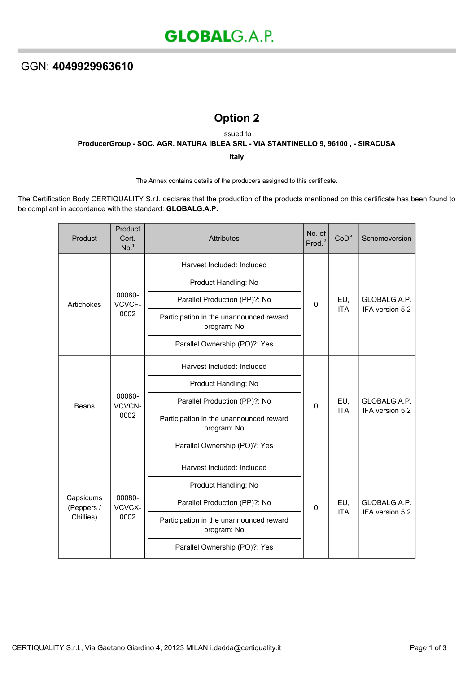## **Option 2**

Issued to

**ProducerGroup - SOC. AGR. NATURA IBLEA SRL - VIA STANTINELLO 9, 96100 , - SIRACUSA**

**Italy**

The Annex contains details of the producers assigned to this certificate.

The Certification Body CERTIQUALITY S.r.l. declares that the production of the products mentioned on this certificate has been found to be compliant in accordance with the standard: **GLOBALG.A.P.**

| Product                              | Product<br>Cert.<br>No. <sup>1</sup> | <b>Attributes</b>                                      | No. of<br>Prod. <sup>2</sup> | CoD <sup>3</sup>  | Schemeversion                   |
|--------------------------------------|--------------------------------------|--------------------------------------------------------|------------------------------|-------------------|---------------------------------|
| Artichokes                           | 00080-<br>VCVCF-<br>0002             | Harvest Included: Included                             | 0                            | EU,<br><b>ITA</b> | GLOBALG.A.P.<br>IFA version 5.2 |
|                                      |                                      | Product Handling: No                                   |                              |                   |                                 |
|                                      |                                      | Parallel Production (PP)?: No                          |                              |                   |                                 |
|                                      |                                      | Participation in the unannounced reward<br>program: No |                              |                   |                                 |
|                                      |                                      | Parallel Ownership (PO)?: Yes                          |                              |                   |                                 |
| <b>Beans</b>                         | 00080-<br>VCVCN-<br>0002             | Harvest Included: Included                             |                              | EU,<br><b>ITA</b> | GLOBALG.A.P.<br>IFA version 5.2 |
|                                      |                                      | Product Handling: No                                   | 0                            |                   |                                 |
|                                      |                                      | Parallel Production (PP)?: No                          |                              |                   |                                 |
|                                      |                                      | Participation in the unannounced reward<br>program: No |                              |                   |                                 |
|                                      |                                      | Parallel Ownership (PO)?: Yes                          |                              |                   |                                 |
| Capsicums<br>(Peppers /<br>Chillies) | 00080-<br>VCVCX-<br>0002             | Harvest Included: Included                             | $\mathbf 0$                  | EU,               | GLOBALG.A.P.<br>IFA version 5.2 |
|                                      |                                      | Product Handling: No                                   |                              |                   |                                 |
|                                      |                                      | Parallel Production (PP)?: No                          |                              |                   |                                 |
|                                      |                                      | Participation in the unannounced reward<br>program: No |                              | <b>ITA</b>        |                                 |
|                                      |                                      | Parallel Ownership (PO)?: Yes                          |                              |                   |                                 |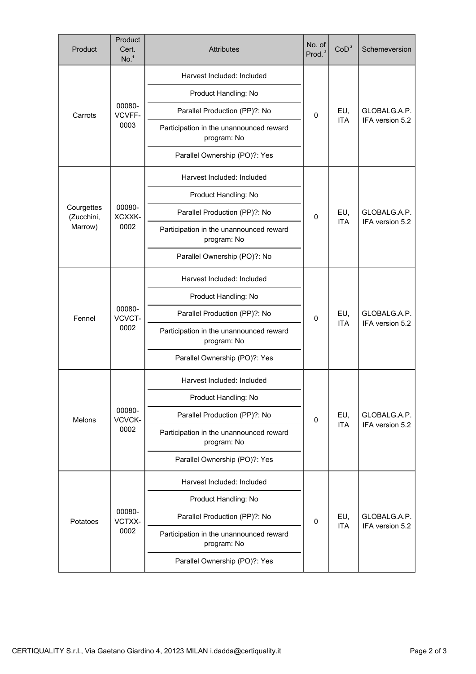| Product                             | Product<br>Cert.<br>No. <sup>1</sup> | <b>Attributes</b>                                      | No. of<br>Prod. <sup>2</sup> | CoD <sup>3</sup>  | Schemeversion                   |
|-------------------------------------|--------------------------------------|--------------------------------------------------------|------------------------------|-------------------|---------------------------------|
| Carrots                             | 00080-<br>VCVFF-<br>0003             | Harvest Included: Included                             | $\mathbf{0}$                 | EU,<br><b>ITA</b> | GLOBALG.A.P.<br>IFA version 5.2 |
|                                     |                                      | Product Handling: No                                   |                              |                   |                                 |
|                                     |                                      | Parallel Production (PP)?: No                          |                              |                   |                                 |
|                                     |                                      | Participation in the unannounced reward<br>program: No |                              |                   |                                 |
|                                     |                                      | Parallel Ownership (PO)?: Yes                          |                              |                   |                                 |
| Courgettes<br>(Zucchini,<br>Marrow) |                                      | Harvest Included: Included                             |                              | EU,<br><b>ITA</b> | GLOBALG.A.P.<br>IFA version 5.2 |
|                                     |                                      | Product Handling: No                                   |                              |                   |                                 |
|                                     | 00080-<br>XCXXK-                     | Parallel Production (PP)?: No                          | 0                            |                   |                                 |
|                                     | 0002                                 | Participation in the unannounced reward<br>program: No |                              |                   |                                 |
|                                     |                                      | Parallel Ownership (PO)?: No                           |                              |                   |                                 |
|                                     |                                      | Harvest Included: Included                             |                              | EU,<br><b>ITA</b> | GLOBALG.A.P.<br>IFA version 5.2 |
| Fennel                              | 00080-<br>VCVCT-<br>0002             | Product Handling: No                                   | 0                            |                   |                                 |
|                                     |                                      | Parallel Production (PP)?: No                          |                              |                   |                                 |
|                                     |                                      | Participation in the unannounced reward<br>program: No |                              |                   |                                 |
|                                     |                                      | Parallel Ownership (PO)?: Yes                          |                              |                   |                                 |
|                                     | 00080-<br>VCVCK-<br>0002             | Harvest Included: Included                             | $\mathbf 0$                  | EU,<br><b>ITA</b> | GLOBALG.A.P.<br>IFA version 5.2 |
| <b>Melons</b>                       |                                      | Product Handling: No                                   |                              |                   |                                 |
|                                     |                                      | Parallel Production (PP)?: No                          |                              |                   |                                 |
|                                     |                                      | Participation in the unannounced reward<br>program: No |                              |                   |                                 |
|                                     |                                      | Parallel Ownership (PO)?: Yes                          |                              |                   |                                 |
| Potatoes                            | 00080-<br>VCTXX-<br>0002             | Harvest Included: Included                             | 0                            | EU,<br><b>ITA</b> | GLOBALG.A.P.<br>IFA version 5.2 |
|                                     |                                      | Product Handling: No                                   |                              |                   |                                 |
|                                     |                                      | Parallel Production (PP)?: No                          |                              |                   |                                 |
|                                     |                                      | Participation in the unannounced reward<br>program: No |                              |                   |                                 |
|                                     |                                      | Parallel Ownership (PO)?: Yes                          |                              |                   |                                 |